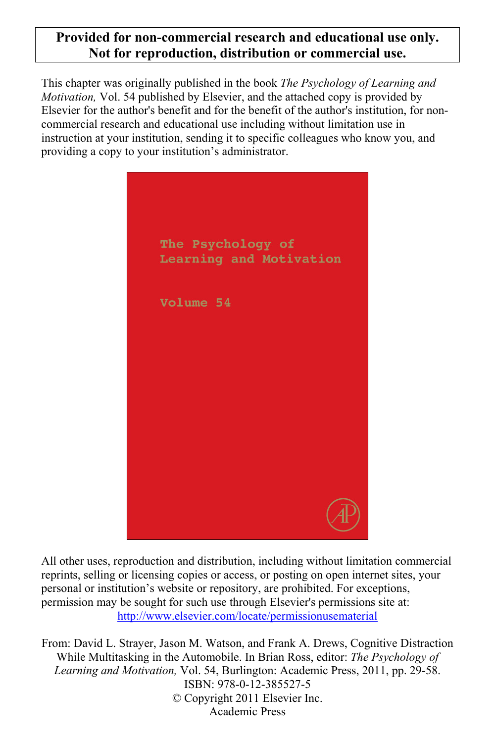## **Provided for non-commercial research and educational use only. Not for reproduction, distribution or commercial use.**

This chapter was originally published in the book *The Psychology of Learning and Motivation,* Vol. 54 published by Elsevier, and the attached copy is provided by Elsevier for the author's benefit and for the benefit of the author's institution, for noncommercial research and educational use including without limitation use in instruction at your institution, sending it to specific colleagues who know you, and providing a copy to your institution's administrator.



All other uses, reproduction and distribution, including without limitation commercial reprints, selling or licensing copies or access, or posting on open internet sites, your personal or institution's website or repository, are prohibited. For exceptions, permission may be sought for such use through Elsevier's permissions site at: http://www.elsevier.com/locate/permissionusematerial

From: David L. Strayer, Jason M. Watson, and Frank A. Drews, Cognitive Distraction While Multitasking in the Automobile. In Brian Ross, editor: *The Psychology of Learning and Motivation,* Vol. 54, Burlington: Academic Press, 2011, pp. 29-58. ISBN: 978-0-12-385527-5 © Copyright 2011 Elsevier Inc. Academic Press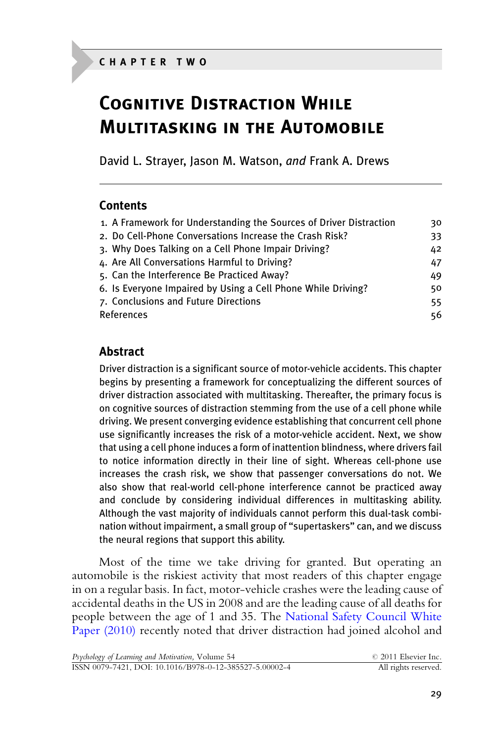# COGNITIVE DISTRACTION WHILE Multitasking in the Automobile

David L. Strayer, Jason M. Watson, and Frank A. Drews

#### **Contents**

| 1. A Framework for Understanding the Sources of Driver Distraction | 30 |
|--------------------------------------------------------------------|----|
| 2. Do Cell-Phone Conversations Increase the Crash Risk?            | 33 |
| 3. Why Does Talking on a Cell Phone Impair Driving?                | 42 |
| 4. Are All Conversations Harmful to Driving?                       | 47 |
| 5. Can the Interference Be Practiced Away?                         | 49 |
| 6. Is Everyone Impaired by Using a Cell Phone While Driving?       | 50 |
| 7. Conclusions and Future Directions                               | 55 |
| References                                                         | 56 |
|                                                                    |    |

## Abstract

Driver distraction is a significant source of motor-vehicle accidents. This chapter begins by presenting a framework for conceptualizing the different sources of driver distraction associated with multitasking. Thereafter, the primary focus is on cognitive sources of distraction stemming from the use of a cell phone while driving. We present converging evidence establishing that concurrent cell phone use significantly increases the risk of a motor-vehicle accident. Next, we show that using a cell phone induces a form of inattention blindness, where drivers fail to notice information directly in their line of sight. Whereas cell-phone use increases the crash risk, we show that passenger conversations do not. We also show that real-world cell-phone interference cannot be practiced away and conclude by considering individual differences in multitasking ability. Although the vast majority of individuals cannot perform this dual-task combination without impairment, a small group of "supertaskers" can, and we discuss the neural regions that support this ability.

Most of the time we take driving for granted. But operating an automobile is the riskiest activity that most readers of this chapter engage in on a regular basis. In fact, motor-vehicle crashes were the leading cause of accidental deaths in the US in 2008 and are the leading cause of all deaths for people between the age of 1 and 35. The [National Safety Council White](#page-29-0) [Paper \(2010\)](#page-29-0) recently noted that driver distraction had joined alcohol and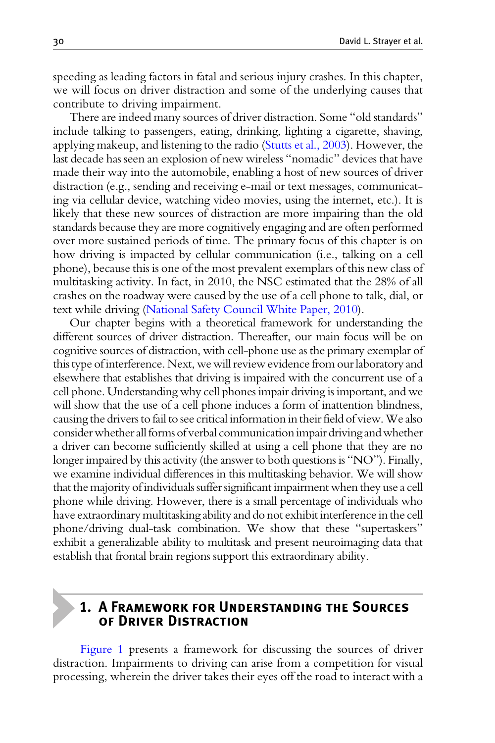speeding as leading factors in fatal and serious injury crashes. In this chapter, we will focus on driver distraction and some of the underlying causes that contribute to driving impairment.

There are indeed many sources of driver distraction. Some "old standards" include talking to passengers, eating, drinking, lighting a cigarette, shaving, applying makeup, and listening to the radio [\(Stutts et al., 2003](#page-30-0)). However, the last decade has seen an explosion of new wireless "nomadic" devices that have made their way into the automobile, enabling a host of new sources of driver distraction (e.g., sending and receiving e-mail or text messages, communicating via cellular device, watching video movies, using the internet, etc.). It is likely that these new sources of distraction are more impairing than the old standards because they are more cognitively engaging and are often performed over more sustained periods of time. The primary focus of this chapter is on how driving is impacted by cellular communication (i.e., talking on a cell phone), because this is one of the most prevalent exemplars of this new class of multitasking activity. In fact, in 2010, the NSC estimated that the 28% of all crashes on the roadway were caused by the use of a cell phone to talk, dial, or text while driving [\(National Safety Council White Paper, 2010\)](#page-29-0).

Our chapter begins with a theoretical framework for understanding the different sources of driver distraction. Thereafter, our main focus will be on cognitive sources of distraction, with cell-phone use as the primary exemplar of this type of interference. Next, we will review evidence from our laboratory and elsewhere that establishes that driving is impaired with the concurrent use of a cell phone. Understanding why cell phones impair driving is important, and we will show that the use of a cell phone induces a form of inattention blindness, causing the drivers to fail to see critical information in their field of view.We also consider whether allforms of verbal communication impair driving and whether a driver can become sufficiently skilled at using a cell phone that they are no longer impaired by this activity (the answer to both questions is "NO"). Finally, we examine individual differences in this multitasking behavior. We will show that the majority of individuals suffer significant impairment when they use a cell phone while driving. However, there is a small percentage of individuals who have extraordinary multitasking ability and do not exhibit interference in the cell phone/driving dual-task combination. We show that these "supertaskers" exhibit a generalizable ability to multitask and present neuroimaging data that establish that frontal brain regions support this extraordinary ability.

#### 1. A Framework for Understanding the Sources of Driver Distraction

[Figure 1](#page-3-0) presents a framework for discussing the sources of driver distraction. Impairments to driving can arise from a competition for visual processing, wherein the driver takes their eyes off the road to interact with a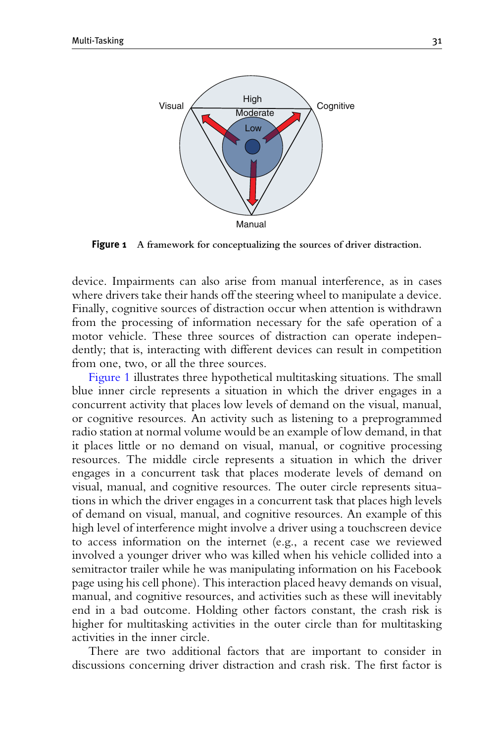

Figure 1 A framework for conceptualizing the sources of driver distraction.

device. Impairments can also arise from manual interference, as in cases where drivers take their hands off the steering wheel to manipulate a device. Finally, cognitive sources of distraction occur when attention is withdrawn from the processing of information necessary for the safe operation of a motor vehicle. These three sources of distraction can operate independently; that is, interacting with different devices can result in competition from one, two, or all the three sources.

[Figure 1](#page-3-0) illustrates three hypothetical multitasking situations. The small blue inner circle represents a situation in which the driver engages in a concurrent activity that places low levels of demand on the visual, manual, or cognitive resources. An activity such as listening to a preprogrammed radio station at normal volume would be an example of low demand, in that it places little or no demand on visual, manual, or cognitive processing resources. The middle circle represents a situation in which the driver engages in a concurrent task that places moderate levels of demand on visual, manual, and cognitive resources. The outer circle represents situations in which the driver engages in a concurrent task that places high levels of demand on visual, manual, and cognitive resources. An example of this high level of interference might involve a driver using a touchscreen device to access information on the internet (e.g., a recent case we reviewed involved a younger driver who was killed when his vehicle collided into a semitractor trailer while he was manipulating information on his Facebook page using his cell phone). This interaction placed heavy demands on visual, manual, and cognitive resources, and activities such as these will inevitably end in a bad outcome. Holding other factors constant, the crash risk is higher for multitasking activities in the outer circle than for multitasking activities in the inner circle.

<span id="page-3-0"></span>There are two additional factors that are important to consider in discussions concerning driver distraction and crash risk. The first factor is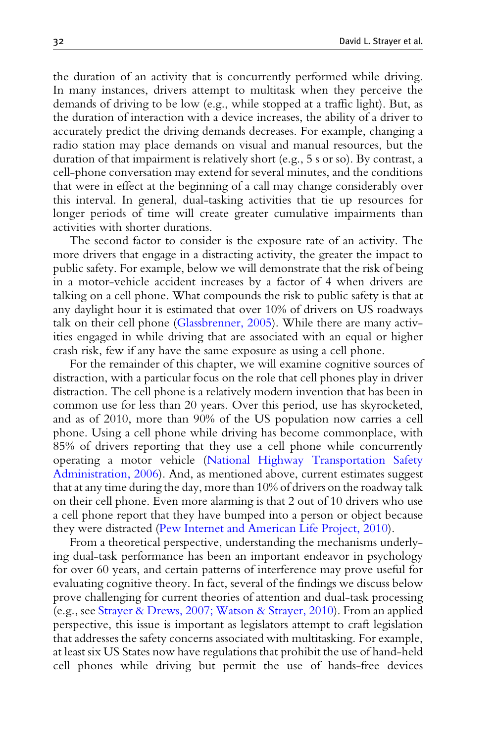the duration of an activity that is concurrently performed while driving. In many instances, drivers attempt to multitask when they perceive the demands of driving to be low (e.g., while stopped at a traffic light). But, as the duration of interaction with a device increases, the ability of a driver to accurately predict the driving demands decreases. For example, changing a radio station may place demands on visual and manual resources, but the duration of that impairment is relatively short (e.g., 5 s or so). By contrast, a cell-phone conversation may extend for several minutes, and the conditions that were in effect at the beginning of a call may change considerably over this interval. In general, dual-tasking activities that tie up resources for longer periods of time will create greater cumulative impairments than activities with shorter durations.

The second factor to consider is the exposure rate of an activity. The more drivers that engage in a distracting activity, the greater the impact to public safety. For example, below we will demonstrate that the risk of being in a motor-vehicle accident increases by a factor of 4 when drivers are talking on a cell phone. What compounds the risk to public safety is that at any daylight hour it is estimated that over 10% of drivers on US roadways talk on their cell phone [\(Glassbrenner, 2005](#page-29-0)). While there are many activities engaged in while driving that are associated with an equal or higher crash risk, few if any have the same exposure as using a cell phone.

For the remainder of this chapter, we will examine cognitive sources of distraction, with a particular focus on the role that cell phones play in driver distraction. The cell phone is a relatively modern invention that has been in common use for less than 20 years. Over this period, use has skyrocketed, and as of 2010, more than 90% of the US population now carries a cell phone. Using a cell phone while driving has become commonplace, with 85% of drivers reporting that they use a cell phone while concurrently operating a motor vehicle ([National Highway Transportation Safety](#page-29-0) [Administration, 2006](#page-29-0)). And, as mentioned above, current estimates suggest that at any time during the day, more than 10% of drivers on the roadway talk on their cell phone. Even more alarming is that 2 out of 10 drivers who use a cell phone report that they have bumped into a person or object because they were distracted ([Pew Internet and American Life Project, 2010](#page-29-0)).

From a theoretical perspective, understanding the mechanisms underlying dual-task performance has been an important endeavor in psychology for over 60 years, and certain patterns of interference may prove useful for evaluating cognitive theory. In fact, several of the findings we discuss below prove challenging for current theories of attention and dual-task processing (e.g., see [Strayer & Drews, 2007; Watson & Strayer, 2010](#page-30-0)). From an applied perspective, this issue is important as legislators attempt to craft legislation that addresses the safety concerns associated with multitasking. For example, at least six US States now have regulations that prohibit the use of hand-held cell phones while driving but permit the use of hands-free devices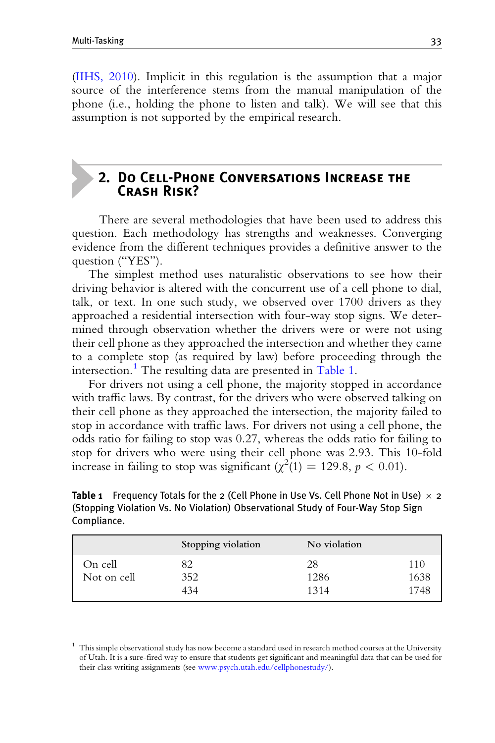[\(IIHS, 2010](#page-29-0)). Implicit in this regulation is the assumption that a major source of the interference stems from the manual manipulation of the phone (i.e., holding the phone to listen and talk). We will see that this assumption is not supported by the empirical research.

#### 2. Do Cell-Phone Conversations Increase the Crash Risk?

There are several methodologies that have been used to address this question. Each methodology has strengths and weaknesses. Converging evidence from the different techniques provides a definitive answer to the question ("YES").

The simplest method uses naturalistic observations to see how their driving behavior is altered with the concurrent use of a cell phone to dial, talk, or text. In one such study, we observed over 1700 drivers as they approached a residential intersection with four-way stop signs. We determined through observation whether the drivers were or were not using their cell phone as they approached the intersection and whether they came to a complete stop (as required by law) before proceeding through the intersection.<sup>1</sup> The resulting data are presented in [Table 1](#page-5-0).

For drivers not using a cell phone, the majority stopped in accordance with traffic laws. By contrast, for the drivers who were observed talking on their cell phone as they approached the intersection, the majority failed to stop in accordance with traffic laws. For drivers not using a cell phone, the odds ratio for failing to stop was 0.27, whereas the odds ratio for failing to stop for drivers who were using their cell phone was 2.93. This 10-fold increase in failing to stop was significant  $\chi^2(1) = 129.8$ ,  $p < 0.01$ ).

**Table 1** Frequency Totals for the 2 (Cell Phone in Use Vs. Cell Phone Not in Use)  $\times$  2 (Stopping Violation Vs. No Violation) Observational Study of Four-Way Stop Sign Compliance.

|                        | Stopping violation | No violation       |                     |  |
|------------------------|--------------------|--------------------|---------------------|--|
| On cell<br>Not on cell | 82<br>352<br>434   | 28<br>1286<br>1314 | 110<br>1638<br>1748 |  |

<span id="page-5-0"></span> $1$  This simple observational study has now become a standard used in research method courses at the University of Utah. It is a sure-fired way to ensure that students get significant and meaningful data that can be used for their class writing assignments (see [www.psych.utah.edu/cellphonestudy/\)](http://www.iihs.org/laws/cellphonelaws.aspx).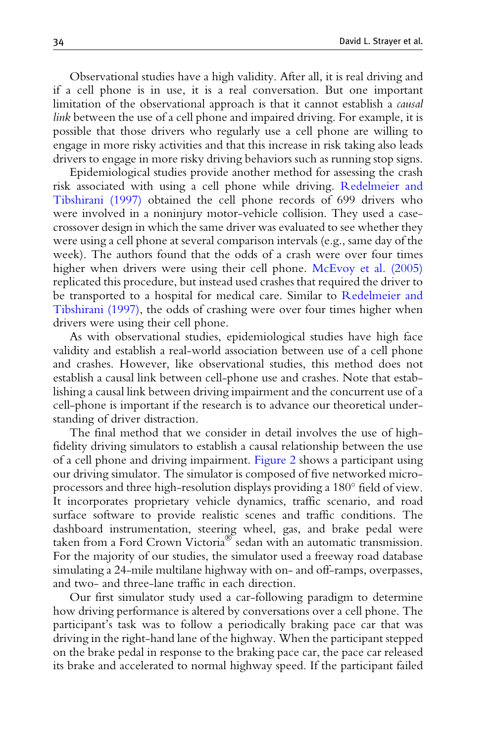Observational studies have a high validity. After all, it is real driving and if a cell phone is in use, it is a real conversation. But one important limitation of the observational approach is that it cannot establish a causal link between the use of a cell phone and impaired driving. For example, it is possible that those drivers who regularly use a cell phone are willing to engage in more risky activities and that this increase in risk taking also leads drivers to engage in more risky driving behaviors such as running stop signs.

Epidemiological studies provide another method for assessing the crash risk associated with using a cell phone while driving. [Redelmeier and](#page-29-0) [Tibshirani \(1997\)](#page-29-0) obtained the cell phone records of 699 drivers who were involved in a noninjury motor-vehicle collision. They used a casecrossover design in which the same driver was evaluated to see whether they were using a cell phone at several comparison intervals (e.g., same day of the week). The authors found that the odds of a crash were over four times higher when drivers were using their cell phone. [McEvoy et al. \(2005\)](#page-29-0) replicated this procedure, but instead used crashes that required the driver to be transported to a hospital for medical care. Similar to [Redelmeier and](#page-29-0) [Tibshirani \(1997\),](#page-29-0) the odds of crashing were over four times higher when drivers were using their cell phone.

As with observational studies, epidemiological studies have high face validity and establish a real-world association between use of a cell phone and crashes. However, like observational studies, this method does not establish a causal link between cell-phone use and crashes. Note that establishing a causal link between driving impairment and the concurrent use of a cell-phone is important if the research is to advance our theoretical understanding of driver distraction.

The final method that we consider in detail involves the use of highfidelity driving simulators to establish a causal relationship between the use of a cell phone and driving impairment. [Figure 2](#page-7-0) shows a participant using our driving simulator. The simulator is composed of five networked microprocessors and three high-resolution displays providing a 180° field of view. It incorporates proprietary vehicle dynamics, traffic scenario, and road surface software to provide realistic scenes and traffic conditions. The dashboard instrumentation, steering wheel, gas, and brake pedal were taken from a Ford Crown Victoria<sup>®</sup> sedan with an automatic transmission. For the majority of our studies, the simulator used a freeway road database simulating a 24-mile multilane highway with on- and off-ramps, overpasses, and two- and three-lane traffic in each direction.

Our first simulator study used a car-following paradigm to determine how driving performance is altered by conversations over a cell phone. The participant's task was to follow a periodically braking pace car that was driving in the right-hand lane of the highway. When the participant stepped on the brake pedal in response to the braking pace car, the pace car released its brake and accelerated to normal highway speed. If the participant failed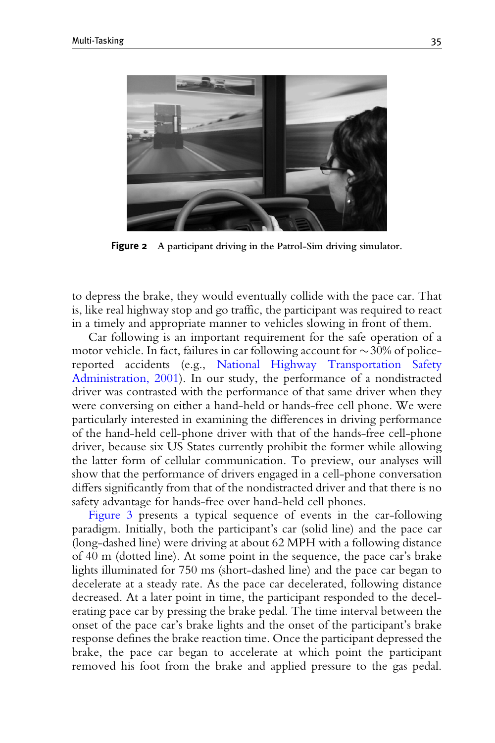

Figure 2 A participant driving in the Patrol-Sim driving simulator.

to depress the brake, they would eventually collide with the pace car. That is, like real highway stop and go traffic, the participant was required to react in a timely and appropriate manner to vehicles slowing in front of them.

Car following is an important requirement for the safe operation of a motor vehicle. In fact, failures in car following account for  $\sim$  30% of policereported accidents (e.g., [National Highway Transportation Safety](#page-29-0) [Administration, 2001](#page-29-0)). In our study, the performance of a nondistracted driver was contrasted with the performance of that same driver when they were conversing on either a hand-held or hands-free cell phone. We were particularly interested in examining the differences in driving performance of the hand-held cell-phone driver with that of the hands-free cell-phone driver, because six US States currently prohibit the former while allowing the latter form of cellular communication. To preview, our analyses will show that the performance of drivers engaged in a cell-phone conversation differs significantly from that of the nondistracted driver and that there is no safety advantage for hands-free over hand-held cell phones.

<span id="page-7-0"></span>[Figure 3](#page-8-0) presents a typical sequence of events in the car-following paradigm. Initially, both the participant's car (solid line) and the pace car (long-dashed line) were driving at about 62 MPH with a following distance of 40 m (dotted line). At some point in the sequence, the pace car's brake lights illuminated for 750 ms (short-dashed line) and the pace car began to decelerate at a steady rate. As the pace car decelerated, following distance decreased. At a later point in time, the participant responded to the decelerating pace car by pressing the brake pedal. The time interval between the onset of the pace car's brake lights and the onset of the participant's brake response defines the brake reaction time. Once the participant depressed the brake, the pace car began to accelerate at which point the participant removed his foot from the brake and applied pressure to the gas pedal.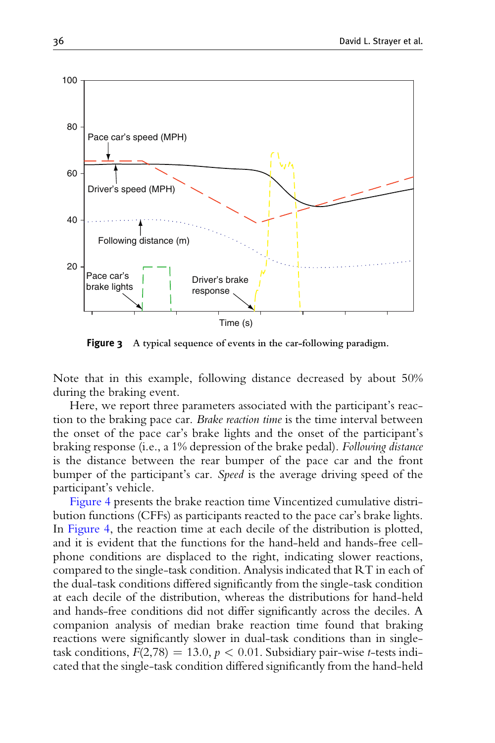

Figure 3 A typical sequence of events in the car-following paradigm.

Note that in this example, following distance decreased by about 50% during the braking event.

Here, we report three parameters associated with the participant's reaction to the braking pace car. Brake reaction time is the time interval between the onset of the pace car's brake lights and the onset of the participant's braking response (i.e., a 1% depression of the brake pedal). Following distance is the distance between the rear bumper of the pace car and the front bumper of the participant's car. Speed is the average driving speed of the participant's vehicle.

<span id="page-8-0"></span>[Figure 4](#page-9-0) presents the brake reaction time Vincentized cumulative distribution functions (CFFs) as participants reacted to the pace car's brake lights. In [Figure 4,](#page-9-0) the reaction time at each decile of the distribution is plotted, and it is evident that the functions for the hand-held and hands-free cellphone conditions are displaced to the right, indicating slower reactions, compared to the single-task condition. Analysis indicated that RT in each of the dual-task conditions differed significantly from the single-task condition at each decile of the distribution, whereas the distributions for hand-held and hands-free conditions did not differ significantly across the deciles. A companion analysis of median brake reaction time found that braking reactions were significantly slower in dual-task conditions than in singletask conditions,  $F(2,78) = 13.0$ ,  $p < 0.01$ . Subsidiary pair-wise t-tests indicated that the single-task condition differed significantly from the hand-held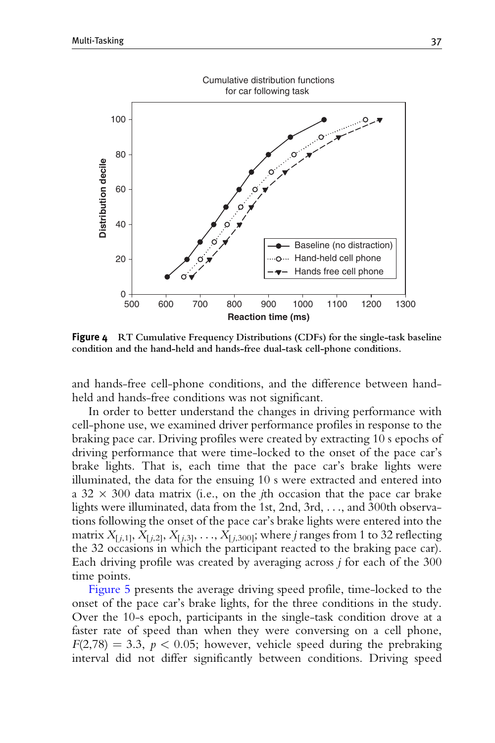

Figure 4 RT Cumulative Frequency Distributions (CDFs) for the single-task baseline condition and the hand-held and hands-free dual-task cell-phone conditions.

and hands-free cell-phone conditions, and the difference between handheld and hands-free conditions was not significant.

In order to better understand the changes in driving performance with cell-phone use, we examined driver performance profiles in response to the braking pace car. Driving profiles were created by extracting 10 s epochs of driving performance that were time-locked to the onset of the pace car's brake lights. That is, each time that the pace car's brake lights were illuminated, the data for the ensuing 10 s were extracted and entered into a  $32 \times 300$  data matrix (i.e., on the jth occasion that the pace car brake lights were illuminated, data from the 1st, 2nd, 3rd, ..., and 300th observations following the onset of the pace car's brake lights were entered into the matrix  $X_{[j,1]}, X_{[j,2]}, X_{[j,3]}, \ldots, X_{[j,300]}$ ; where *j* ranges from 1 to 32 reflecting the 32 occasions in which the participant reacted to the braking pace car). Each driving profile was created by averaging across j for each of the 300 time points.

<span id="page-9-0"></span>[Figure 5](#page-10-0) presents the average driving speed profile, time-locked to the onset of the pace car's brake lights, for the three conditions in the study. Over the 10-s epoch, participants in the single-task condition drove at a faster rate of speed than when they were conversing on a cell phone,  $F(2,78) = 3.3, p < 0.05$ ; however, vehicle speed during the prebraking interval did not differ significantly between conditions. Driving speed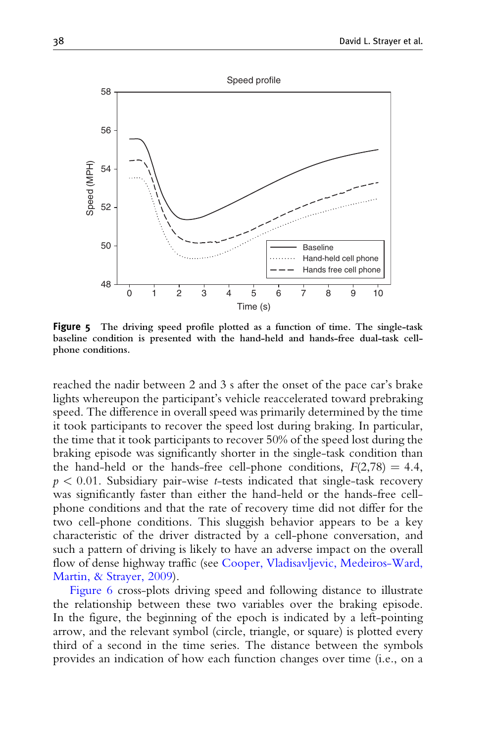

Figure 5 The driving speed profile plotted as a function of time. The single-task baseline condition is presented with the hand-held and hands-free dual-task cellphone conditions.

reached the nadir between 2 and 3 s after the onset of the pace car's brake lights whereupon the participant's vehicle reaccelerated toward prebraking speed. The difference in overall speed was primarily determined by the time it took participants to recover the speed lost during braking. In particular, the time that it took participants to recover 50% of the speed lost during the braking episode was significantly shorter in the single-task condition than the hand-held or the hands-free cell-phone conditions,  $F(2,78) = 4.4$ ,  $p < 0.01$ . Subsidiary pair-wise *t*-tests indicated that single-task recovery was significantly faster than either the hand-held or the hands-free cellphone conditions and that the rate of recovery time did not differ for the two cell-phone conditions. This sluggish behavior appears to be a key characteristic of the driver distracted by a cell-phone conversation, and such a pattern of driving is likely to have an adverse impact on the overall flow of dense highway traffic (see [Cooper, Vladisavljevic, Medeiros-Ward,](#page-29-0) [Martin, & Strayer, 2009\)](#page-29-0).

<span id="page-10-0"></span>[Figure 6](#page-11-0) cross-plots driving speed and following distance to illustrate the relationship between these two variables over the braking episode. In the figure, the beginning of the epoch is indicated by a left-pointing arrow, and the relevant symbol (circle, triangle, or square) is plotted every third of a second in the time series. The distance between the symbols provides an indication of how each function changes over time (i.e., on a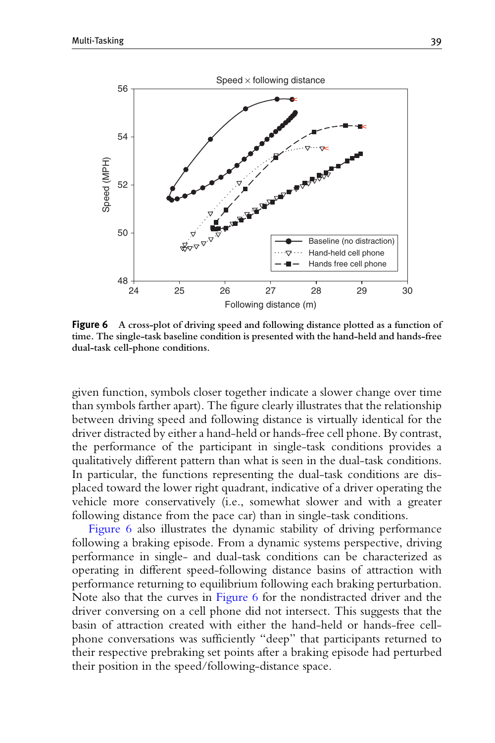

Figure 6 A cross-plot of driving speed and following distance plotted as a function of time. The single-task baseline condition is presented with the hand-held and hands-free dual-task cell-phone conditions.

given function, symbols closer together indicate a slower change over time than symbols farther apart). The figure clearly illustrates that the relationship between driving speed and following distance is virtually identical for the driver distracted by either a hand-held or hands-free cell phone. By contrast, the performance of the participant in single-task conditions provides a qualitatively different pattern than what is seen in the dual-task conditions. In particular, the functions representing the dual-task conditions are displaced toward the lower right quadrant, indicative of a driver operating the vehicle more conservatively (i.e., somewhat slower and with a greater following distance from the pace car) than in single-task conditions.

<span id="page-11-0"></span>[Figure 6](#page-11-0) also illustrates the dynamic stability of driving performance following a braking episode. From a dynamic systems perspective, driving performance in single- and dual-task conditions can be characterized as operating in different speed-following distance basins of attraction with performance returning to equilibrium following each braking perturbation. Note also that the curves in [Figure 6](#page-11-0) for the nondistracted driver and the driver conversing on a cell phone did not intersect. This suggests that the basin of attraction created with either the hand-held or hands-free cellphone conversations was sufficiently "deep" that participants returned to their respective prebraking set points after a braking episode had perturbed their position in the speed/following-distance space.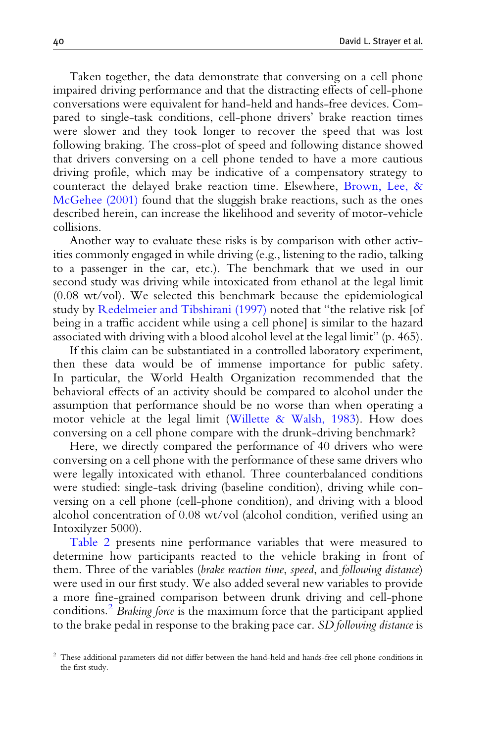Taken together, the data demonstrate that conversing on a cell phone impaired driving performance and that the distracting effects of cell-phone conversations were equivalent for hand-held and hands-free devices. Compared to single-task conditions, cell-phone drivers' brake reaction times were slower and they took longer to recover the speed that was lost following braking. The cross-plot of speed and following distance showed that drivers conversing on a cell phone tended to have a more cautious driving profile, which may be indicative of a compensatory strategy to counteract the delayed brake reaction time. Elsewhere, [Brown, Lee, &](#page-28-0) [McGehee \(2001\)](#page-28-0) found that the sluggish brake reactions, such as the ones described herein, can increase the likelihood and severity of motor-vehicle collisions.

Another way to evaluate these risks is by comparison with other activities commonly engaged in while driving (e.g., listening to the radio, talking to a passenger in the car, etc.). The benchmark that we used in our second study was driving while intoxicated from ethanol at the legal limit (0.08 wt/vol). We selected this benchmark because the epidemiological study by [Redelmeier and Tibshirani \(1997\)](#page-29-0) noted that "the relative risk [of being in a traffic accident while using a cell phone] is similar to the hazard associated with driving with a blood alcohol level at the legal limit" (p. 465).

If this claim can be substantiated in a controlled laboratory experiment, then these data would be of immense importance for public safety. In particular, the World Health Organization recommended that the behavioral effects of an activity should be compared to alcohol under the assumption that performance should be no worse than when operating a motor vehicle at the legal limit [\(Willette & Walsh, 1983\)](#page-30-0). How does conversing on a cell phone compare with the drunk-driving benchmark?

Here, we directly compared the performance of 40 drivers who were conversing on a cell phone with the performance of these same drivers who were legally intoxicated with ethanol. Three counterbalanced conditions were studied: single-task driving (baseline condition), driving while conversing on a cell phone (cell-phone condition), and driving with a blood alcohol concentration of 0.08 wt/vol (alcohol condition, verified using an Intoxilyzer 5000).

[Table 2](#page-13-0) presents nine performance variables that were measured to determine how participants reacted to the vehicle braking in front of them. Three of the variables (brake reaction time, speed, and following distance) were used in our first study. We also added several new variables to provide a more fine-grained comparison between drunk driving and cell-phone conditions.<sup>[2](#page-12-0)</sup> Braking force is the maximum force that the participant applied to the brake pedal in response to the braking pace car. SD following distance is

<span id="page-12-0"></span><sup>2</sup> These additional parameters did not differ between the hand-held and hands-free cell phone conditions in the first study.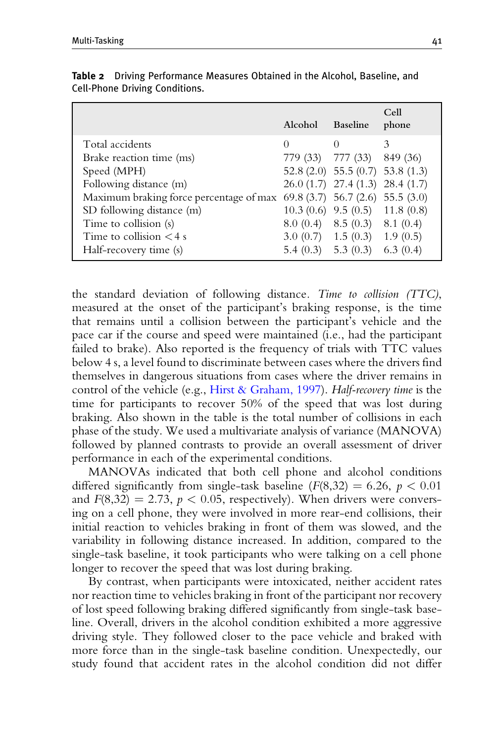|                                         | Alcohol          | <b>Baseline</b>                       | Cell<br>phone |
|-----------------------------------------|------------------|---------------------------------------|---------------|
| Total accidents                         | $\left( \right)$ |                                       | 3             |
| Brake reaction time (ms)                | 779 (33)         | 777 (33)                              | 849 (36)      |
| Speed (MPH)                             |                  | 52.8 (2.0) 55.5 (0.7) 53.8 (1.3)      |               |
| Following distance (m)                  |                  | $26.0(1.7)$ 27.4 $(1.3)$ 28.4 $(1.7)$ |               |
| Maximum braking force percentage of max |                  | $69.8(3.7)$ 56.7 (2.6) 55.5 (3.0)     |               |
| SD following distance (m)               |                  | $10.3(0.6)$ 9.5 $(0.5)$ 11.8 $(0.8)$  |               |
| Time to collision (s)                   | 8.0(0.4)         | $8.5(0.3)$ $8.1(0.4)$                 |               |
| Time to collision $<$ 4 s               | 3.0(0.7)         | 1.5(0.3)                              | 1.9(0.5)      |
| Half-recovery time (s)                  | 5.4(0.3)         | 5.3(0.3)                              | 6.3(0.4)      |

Table 2 Driving Performance Measures Obtained in the Alcohol, Baseline, and Cell-Phone Driving Conditions.

the standard deviation of following distance. Time to collision (TTC), measured at the onset of the participant's braking response, is the time that remains until a collision between the participant's vehicle and the pace car if the course and speed were maintained (i.e., had the participant failed to brake). Also reported is the frequency of trials with TTC values below 4 s, a level found to discriminate between cases where the drivers find themselves in dangerous situations from cases where the driver remains in control of the vehicle (e.g., [Hirst & Graham, 1997](#page-29-0)). Half-recovery time is the time for participants to recover 50% of the speed that was lost during braking. Also shown in the table is the total number of collisions in each phase of the study. We used a multivariate analysis of variance (MANOVA) followed by planned contrasts to provide an overall assessment of driver performance in each of the experimental conditions.

MANOVAs indicated that both cell phone and alcohol conditions differed significantly from single-task baseline  $(F(8,32) = 6.26, p < 0.01$ and  $F(8,32) = 2.73$ ,  $p < 0.05$ , respectively). When drivers were conversing on a cell phone, they were involved in more rear-end collisions, their initial reaction to vehicles braking in front of them was slowed, and the variability in following distance increased. In addition, compared to the single-task baseline, it took participants who were talking on a cell phone longer to recover the speed that was lost during braking.

<span id="page-13-0"></span>By contrast, when participants were intoxicated, neither accident rates nor reaction time to vehicles braking in front of the participant nor recovery of lost speed following braking differed significantly from single-task baseline. Overall, drivers in the alcohol condition exhibited a more aggressive driving style. They followed closer to the pace vehicle and braked with more force than in the single-task baseline condition. Unexpectedly, our study found that accident rates in the alcohol condition did not differ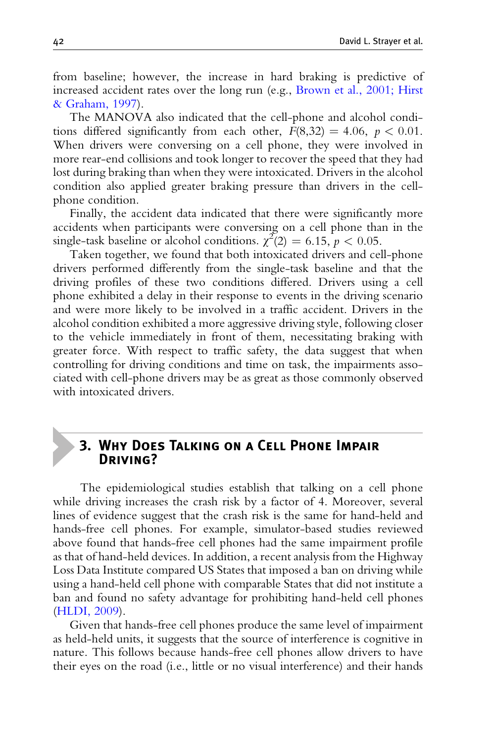from baseline; however, the increase in hard braking is predictive of increased accident rates over the long run (e.g., [Brown et al., 2001; Hirst](#page-28-0) [& Graham, 1997\)](#page-28-0).

The MANOVA also indicated that the cell-phone and alcohol conditions differed significantly from each other,  $F(8,32) = 4.06$ ,  $p < 0.01$ . When drivers were conversing on a cell phone, they were involved in more rear-end collisions and took longer to recover the speed that they had lost during braking than when they were intoxicated. Drivers in the alcohol condition also applied greater braking pressure than drivers in the cellphone condition.

Finally, the accident data indicated that there were significantly more accidents when participants were conversing on a cell phone than in the single-task baseline or alcohol conditions.  $\chi^2(2) = 6.15$ ,  $p < 0.05$ .

Taken together, we found that both intoxicated drivers and cell-phone drivers performed differently from the single-task baseline and that the driving profiles of these two conditions differed. Drivers using a cell phone exhibited a delay in their response to events in the driving scenario and were more likely to be involved in a traffic accident. Drivers in the alcohol condition exhibited a more aggressive driving style, following closer to the vehicle immediately in front of them, necessitating braking with greater force. With respect to traffic safety, the data suggest that when controlling for driving conditions and time on task, the impairments associated with cell-phone drivers may be as great as those commonly observed with intoxicated drivers.

## 3. Why Does Talking on a Cell Phone Impair Driving?

The epidemiological studies establish that talking on a cell phone while driving increases the crash risk by a factor of 4. Moreover, several lines of evidence suggest that the crash risk is the same for hand-held and hands-free cell phones. For example, simulator-based studies reviewed above found that hands-free cell phones had the same impairment profile as that of hand-held devices. In addition, a recent analysis from the Highway Loss Data Institute compared US States that imposed a ban on driving while using a hand-held cell phone with comparable States that did not institute a ban and found no safety advantage for prohibiting hand-held cell phones ([HLDI, 2009\)](#page-29-0).

Given that hands-free cell phones produce the same level of impairment as held-held units, it suggests that the source of interference is cognitive in nature. This follows because hands-free cell phones allow drivers to have their eyes on the road (i.e., little or no visual interference) and their hands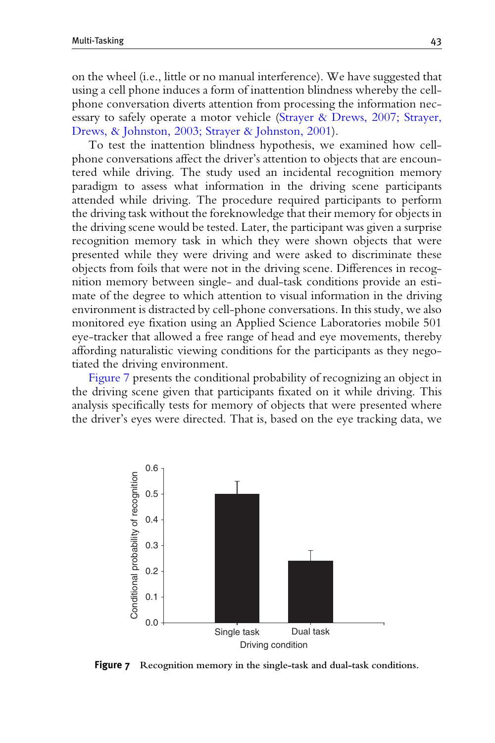on the wheel (i.e., little or no manual interference). We have suggested that using a cell phone induces a form of inattention blindness whereby the cellphone conversation diverts attention from processing the information necessary to safely operate a motor vehicle ([Strayer & Drews, 2007; Strayer,](#page-30-0) [Drews, & Johnston, 2003; Strayer & Johnston, 2001](#page-30-0)).

To test the inattention blindness hypothesis, we examined how cellphone conversations affect the driver's attention to objects that are encountered while driving. The study used an incidental recognition memory paradigm to assess what information in the driving scene participants attended while driving. The procedure required participants to perform the driving task without the foreknowledge that their memory for objects in the driving scene would be tested. Later, the participant was given a surprise recognition memory task in which they were shown objects that were presented while they were driving and were asked to discriminate these objects from foils that were not in the driving scene. Differences in recognition memory between single- and dual-task conditions provide an estimate of the degree to which attention to visual information in the driving environment is distracted by cell-phone conversations. In this study, we also monitored eye fixation using an Applied Science Laboratories mobile 501 eye-tracker that allowed a free range of head and eye movements, thereby affording naturalistic viewing conditions for the participants as they negotiated the driving environment.

[Figure 7](#page-15-0) presents the conditional probability of recognizing an object in the driving scene given that participants fixated on it while driving. This analysis specifically tests for memory of objects that were presented where the driver's eyes were directed. That is, based on the eye tracking data, we



<span id="page-15-0"></span>Figure 7 Recognition memory in the single-task and dual-task conditions.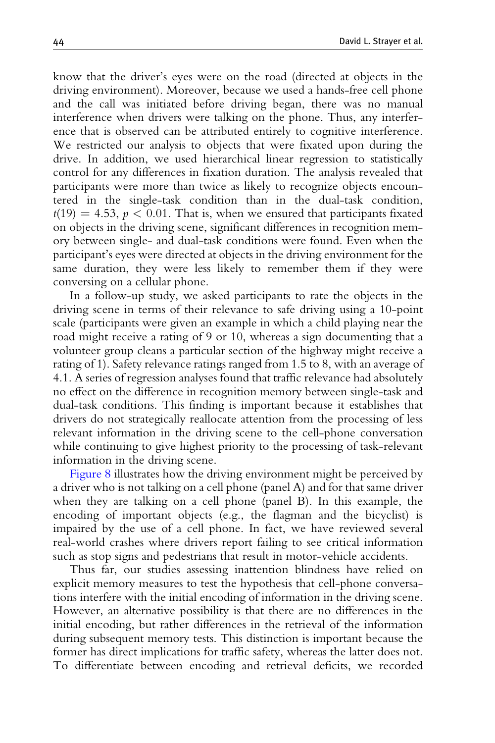know that the driver's eyes were on the road (directed at objects in the driving environment). Moreover, because we used a hands-free cell phone and the call was initiated before driving began, there was no manual interference when drivers were talking on the phone. Thus, any interference that is observed can be attributed entirely to cognitive interference. We restricted our analysis to objects that were fixated upon during the drive. In addition, we used hierarchical linear regression to statistically control for any differences in fixation duration. The analysis revealed that participants were more than twice as likely to recognize objects encountered in the single-task condition than in the dual-task condition,  $t(19) = 4.53$ ,  $p < 0.01$ . That is, when we ensured that participants fixated on objects in the driving scene, significant differences in recognition memory between single- and dual-task conditions were found. Even when the participant's eyes were directed at objects in the driving environment for the same duration, they were less likely to remember them if they were conversing on a cellular phone.

In a follow-up study, we asked participants to rate the objects in the driving scene in terms of their relevance to safe driving using a 10-point scale (participants were given an example in which a child playing near the road might receive a rating of 9 or 10, whereas a sign documenting that a volunteer group cleans a particular section of the highway might receive a rating of 1). Safety relevance ratings ranged from 1.5 to 8, with an average of 4.1. A series of regression analyses found that traffic relevance had absolutely no effect on the difference in recognition memory between single-task and dual-task conditions. This finding is important because it establishes that drivers do not strategically reallocate attention from the processing of less relevant information in the driving scene to the cell-phone conversation while continuing to give highest priority to the processing of task-relevant information in the driving scene.

[Figure 8](#page-17-0) illustrates how the driving environment might be perceived by a driver who is not talking on a cell phone (panel A) and for that same driver when they are talking on a cell phone (panel B). In this example, the encoding of important objects (e.g., the flagman and the bicyclist) is impaired by the use of a cell phone. In fact, we have reviewed several real-world crashes where drivers report failing to see critical information such as stop signs and pedestrians that result in motor-vehicle accidents.

Thus far, our studies assessing inattention blindness have relied on explicit memory measures to test the hypothesis that cell-phone conversations interfere with the initial encoding of information in the driving scene. However, an alternative possibility is that there are no differences in the initial encoding, but rather differences in the retrieval of the information during subsequent memory tests. This distinction is important because the former has direct implications for traffic safety, whereas the latter does not. To differentiate between encoding and retrieval deficits, we recorded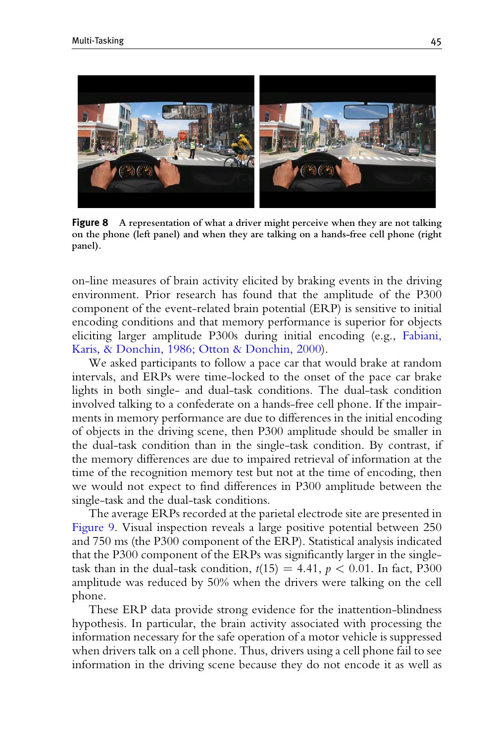

Figure 8 A representation of what a driver might perceive when they are not talking on the phone (left panel) and when they are talking on a hands-free cell phone (right panel).

on-line measures of brain activity elicited by braking events in the driving environment. Prior research has found that the amplitude of the P300 component of the event-related brain potential (ERP) is sensitive to initial encoding conditions and that memory performance is superior for objects eliciting larger amplitude P300s during initial encoding (e.g., [Fabiani,](#page-29-0) [Karis, & Donchin, 1986; Otton & Donchin, 2000](#page-29-0)).

We asked participants to follow a pace car that would brake at random intervals, and ERPs were time-locked to the onset of the pace car brake lights in both single- and dual-task conditions. The dual-task condition involved talking to a confederate on a hands-free cell phone. If the impairments in memory performance are due to differences in the initial encoding of objects in the driving scene, then P300 amplitude should be smaller in the dual-task condition than in the single-task condition. By contrast, if the memory differences are due to impaired retrieval of information at the time of the recognition memory test but not at the time of encoding, then we would not expect to find differences in P300 amplitude between the single-task and the dual-task conditions.

The average ERPs recorded at the parietal electrode site are presented in [Figure 9.](#page-18-0) Visual inspection reveals a large positive potential between 250 and 750 ms (the P300 component of the ERP). Statistical analysis indicated that the P300 component of the ERPs was significantly larger in the singletask than in the dual-task condition,  $t(15) = 4.41$ ,  $p < 0.01$ . In fact, P300 amplitude was reduced by 50% when the drivers were talking on the cell phone.

<span id="page-17-0"></span>These ERP data provide strong evidence for the inattention-blindness hypothesis. In particular, the brain activity associated with processing the information necessary for the safe operation of a motor vehicle is suppressed when drivers talk on a cell phone. Thus, drivers using a cell phone fail to see information in the driving scene because they do not encode it as well as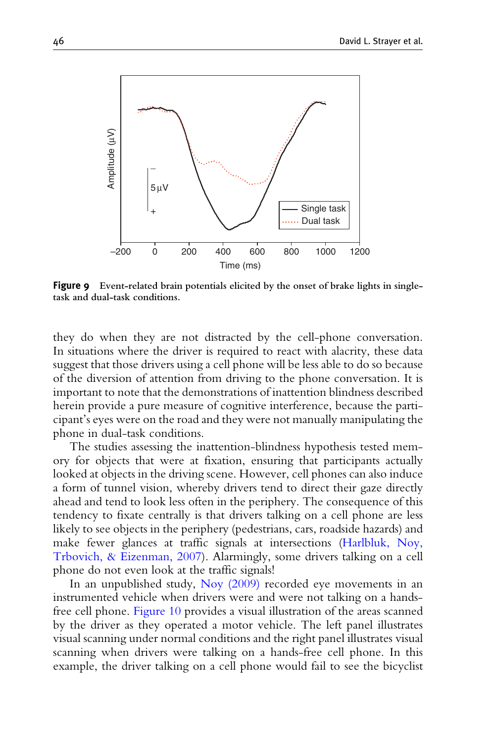

Figure 9 Event-related brain potentials elicited by the onset of brake lights in singletask and dual-task conditions.

they do when they are not distracted by the cell-phone conversation. In situations where the driver is required to react with alacrity, these data suggest that those drivers using a cell phone will be less able to do so because of the diversion of attention from driving to the phone conversation. It is important to note that the demonstrations of inattention blindness described herein provide a pure measure of cognitive interference, because the participant's eyes were on the road and they were not manually manipulating the phone in dual-task conditions.

The studies assessing the inattention-blindness hypothesis tested memory for objects that were at fixation, ensuring that participants actually looked at objects in the driving scene. However, cell phones can also induce a form of tunnel vision, whereby drivers tend to direct their gaze directly ahead and tend to look less often in the periphery. The consequence of this tendency to fixate centrally is that drivers talking on a cell phone are less likely to see objects in the periphery (pedestrians, cars, roadside hazards) and make fewer glances at traffic signals at intersections ([Harlbluk, Noy,](#page-29-0) [Trbovich, & Eizenman, 2007\)](#page-29-0). Alarmingly, some drivers talking on a cell phone do not even look at the traffic signals!

<span id="page-18-0"></span>In an unpublished study, [Noy \(2009\)](#page-29-0) recorded eye movements in an instrumented vehicle when drivers were and were not talking on a handsfree cell phone. [Figure 10](#page-19-0) provides a visual illustration of the areas scanned by the driver as they operated a motor vehicle. The left panel illustrates visual scanning under normal conditions and the right panel illustrates visual scanning when drivers were talking on a hands-free cell phone. In this example, the driver talking on a cell phone would fail to see the bicyclist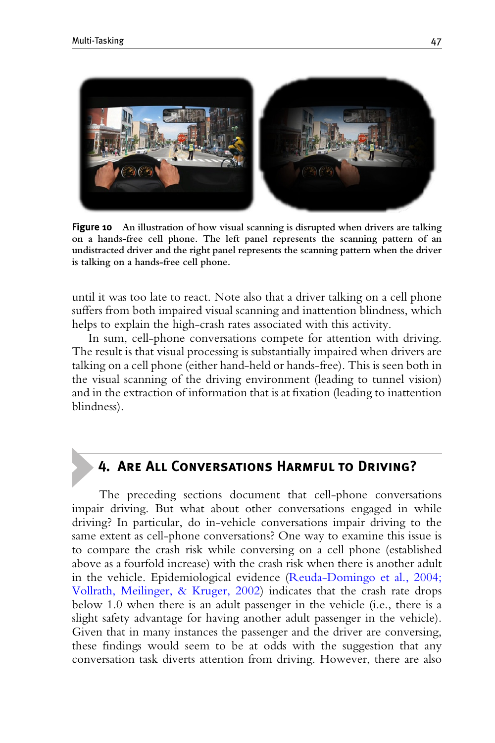

Figure 10 An illustration of how visual scanning is disrupted when drivers are talking on a hands-free cell phone. The left panel represents the scanning pattern of an undistracted driver and the right panel represents the scanning pattern when the driver is talking on a hands-free cell phone.

until it was too late to react. Note also that a driver talking on a cell phone suffers from both impaired visual scanning and inattention blindness, which helps to explain the high-crash rates associated with this activity.

In sum, cell-phone conversations compete for attention with driving. The result is that visual processing is substantially impaired when drivers are talking on a cell phone (either hand-held or hands-free). This is seen both in the visual scanning of the driving environment (leading to tunnel vision) and in the extraction of information that is at fixation (leading to inattention blindness).

## 4. Are All Conversations Harmful to Driving?

<span id="page-19-0"></span>The preceding sections document that cell-phone conversations impair driving. But what about other conversations engaged in while driving? In particular, do in-vehicle conversations impair driving to the same extent as cell-phone conversations? One way to examine this issue is to compare the crash risk while conversing on a cell phone (established above as a fourfold increase) with the crash risk when there is another adult in the vehicle. Epidemiological evidence [\(Reuda-Domingo et al., 2004;](#page-29-0) [Vollrath, Meilinger, & Kruger, 2002\)](#page-29-0) indicates that the crash rate drops below 1.0 when there is an adult passenger in the vehicle (i.e., there is a slight safety advantage for having another adult passenger in the vehicle). Given that in many instances the passenger and the driver are conversing, these findings would seem to be at odds with the suggestion that any conversation task diverts attention from driving. However, there are also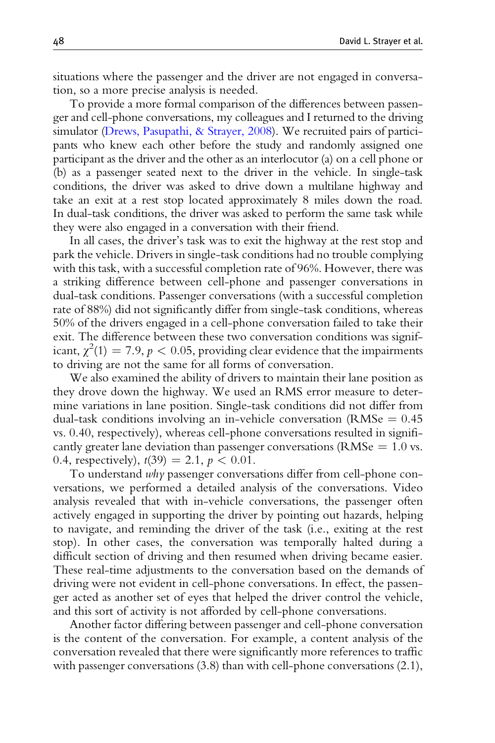situations where the passenger and the driver are not engaged in conversation, so a more precise analysis is needed.

To provide a more formal comparison of the differences between passenger and cell-phone conversations, my colleagues and I returned to the driving simulator [\(Drews, Pasupathi, & Strayer, 2008](#page-29-0)). We recruited pairs of participants who knew each other before the study and randomly assigned one participant as the driver and the other as an interlocutor (a) on a cell phone or (b) as a passenger seated next to the driver in the vehicle. In single-task conditions, the driver was asked to drive down a multilane highway and take an exit at a rest stop located approximately 8 miles down the road. In dual-task conditions, the driver was asked to perform the same task while they were also engaged in a conversation with their friend.

In all cases, the driver's task was to exit the highway at the rest stop and park the vehicle. Drivers in single-task conditions had no trouble complying with this task, with a successful completion rate of 96%. However, there was a striking difference between cell-phone and passenger conversations in dual-task conditions. Passenger conversations (with a successful completion rate of 88%) did not significantly differ from single-task conditions, whereas 50% of the drivers engaged in a cell-phone conversation failed to take their exit. The difference between these two conversation conditions was significant,  $\chi^2(1) = 7.9$ ,  $p < 0.05$ , providing clear evidence that the impairments to driving are not the same for all forms of conversation.

We also examined the ability of drivers to maintain their lane position as they drove down the highway. We used an RMS error measure to determine variations in lane position. Single-task conditions did not differ from dual-task conditions involving an in-vehicle conversation (RMSe  $= 0.45$ ) vs. 0.40, respectively), whereas cell-phone conversations resulted in significantly greater lane deviation than passenger conversations ( $RMSe = 1.0$  vs. 0.4, respectively),  $t(39) = 2.1$ ,  $p < 0.01$ .

To understand why passenger conversations differ from cell-phone conversations, we performed a detailed analysis of the conversations. Video analysis revealed that with in-vehicle conversations, the passenger often actively engaged in supporting the driver by pointing out hazards, helping to navigate, and reminding the driver of the task (i.e., exiting at the rest stop). In other cases, the conversation was temporally halted during a difficult section of driving and then resumed when driving became easier. These real-time adjustments to the conversation based on the demands of driving were not evident in cell-phone conversations. In effect, the passenger acted as another set of eyes that helped the driver control the vehicle, and this sort of activity is not afforded by cell-phone conversations.

Another factor differing between passenger and cell-phone conversation is the content of the conversation. For example, a content analysis of the conversation revealed that there were significantly more references to traffic with passenger conversations (3.8) than with cell-phone conversations (2.1),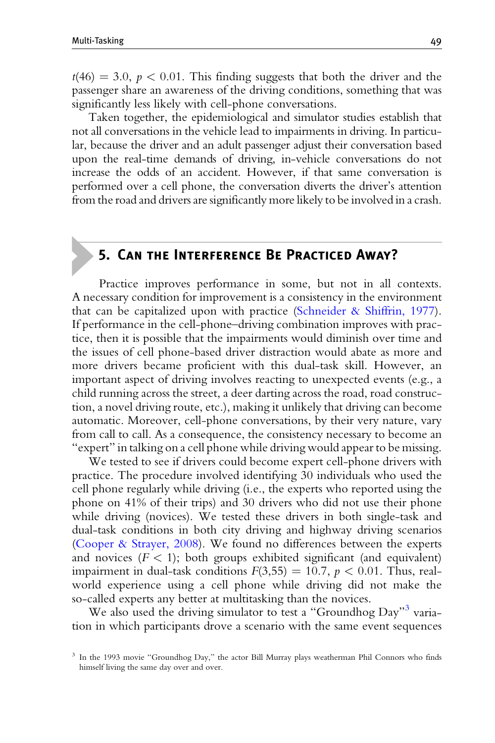$t(46) = 3.0, p < 0.01$ . This finding suggests that both the driver and the passenger share an awareness of the driving conditions, something that was significantly less likely with cell-phone conversations.

Taken together, the epidemiological and simulator studies establish that not all conversations in the vehicle lead to impairments in driving. In particular, because the driver and an adult passenger adjust their conversation based upon the real-time demands of driving, in-vehicle conversations do not increase the odds of an accident. However, if that same conversation is performed over a cell phone, the conversation diverts the driver's attention from the road and drivers are significantly more likely to be involved in a crash.

## 5. Can the Interference Be Practiced Away?

Practice improves performance in some, but not in all contexts. A necessary condition for improvement is a consistency in the environment that can be capitalized upon with practice [\(Schneider & Shiffrin, 1977](#page-29-0)). If performance in the cell-phone–driving combination improves with practice, then it is possible that the impairments would diminish over time and the issues of cell phone-based driver distraction would abate as more and more drivers became proficient with this dual-task skill. However, an important aspect of driving involves reacting to unexpected events (e.g., a child running across the street, a deer darting across the road, road construction, a novel driving route, etc.), making it unlikely that driving can become automatic. Moreover, cell-phone conversations, by their very nature, vary from call to call. As a consequence, the consistency necessary to become an "expert" in talking on a cell phone while driving would appear to be missing.

We tested to see if drivers could become expert cell-phone drivers with practice. The procedure involved identifying 30 individuals who used the cell phone regularly while driving (i.e., the experts who reported using the phone on 41% of their trips) and 30 drivers who did not use their phone while driving (novices). We tested these drivers in both single-task and dual-task conditions in both city driving and highway driving scenarios [\(Cooper & Strayer, 2008](#page-28-0)). We found no differences between the experts and novices  $(F < 1)$ ; both groups exhibited significant (and equivalent) impairment in dual-task conditions  $F(3,55) = 10.7$ ,  $p < 0.01$ . Thus, realworld experience using a cell phone while driving did not make the so-called experts any better at multitasking than the novices.

We also used the driving simulator to test a "Groundhog Day"<sup>[3](#page-21-0)</sup> variation in which participants drove a scenario with the same event sequences

<span id="page-21-0"></span><sup>&</sup>lt;sup>3</sup> In the 1993 movie "Groundhog Day," the actor Bill Murray plays weatherman Phil Connors who finds himself living the same day over and over.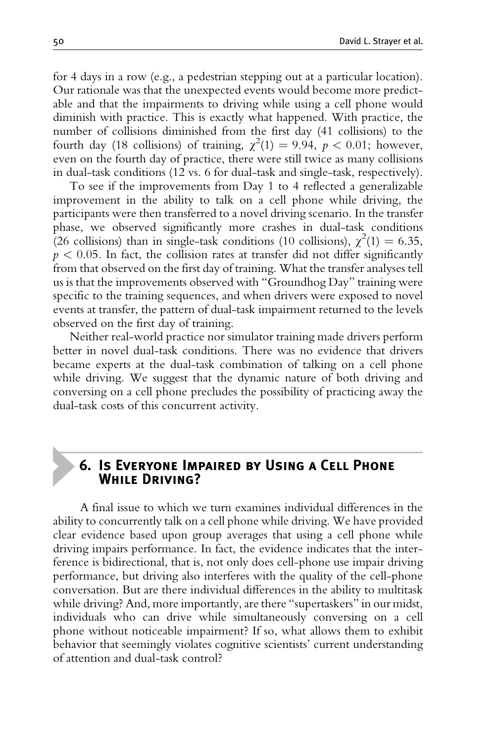for 4 days in a row (e.g., a pedestrian stepping out at a particular location). Our rationale was that the unexpected events would become more predictable and that the impairments to driving while using a cell phone would diminish with practice. This is exactly what happened. With practice, the number of collisions diminished from the first day (41 collisions) to the fourth day (18 collisions) of training,  $\chi^2(1) = 9.94$ ,  $p < 0.01$ ; however, even on the fourth day of practice, there were still twice as many collisions in dual-task conditions (12 vs. 6 for dual-task and single-task, respectively).

To see if the improvements from Day 1 to 4 reflected a generalizable improvement in the ability to talk on a cell phone while driving, the participants were then transferred to a novel driving scenario. In the transfer phase, we observed significantly more crashes in dual-task conditions (26 collisions) than in single-task conditions (10 collisions),  $\chi^2(1) = 6.35$ ,  $p < 0.05$ . In fact, the collision rates at transfer did not differ significantly from that observed on the first day of training. What the transfer analyses tell us is that the improvements observed with "Groundhog Day" training were specific to the training sequences, and when drivers were exposed to novel events at transfer, the pattern of dual-task impairment returned to the levels observed on the first day of training.

Neither real-world practice nor simulator training made drivers perform better in novel dual-task conditions. There was no evidence that drivers became experts at the dual-task combination of talking on a cell phone while driving. We suggest that the dynamic nature of both driving and conversing on a cell phone precludes the possibility of practicing away the dual-task costs of this concurrent activity.

#### 6. Is Everyone Impaired by Using a Cell Phone While Driving?

A final issue to which we turn examines individual differences in the ability to concurrently talk on a cell phone while driving. We have provided clear evidence based upon group averages that using a cell phone while driving impairs performance. In fact, the evidence indicates that the interference is bidirectional, that is, not only does cell-phone use impair driving performance, but driving also interferes with the quality of the cell-phone conversation. But are there individual differences in the ability to multitask while driving? And, more importantly, are there "supertaskers" in our midst, individuals who can drive while simultaneously conversing on a cell phone without noticeable impairment? If so, what allows them to exhibit behavior that seemingly violates cognitive scientists' current understanding of attention and dual-task control?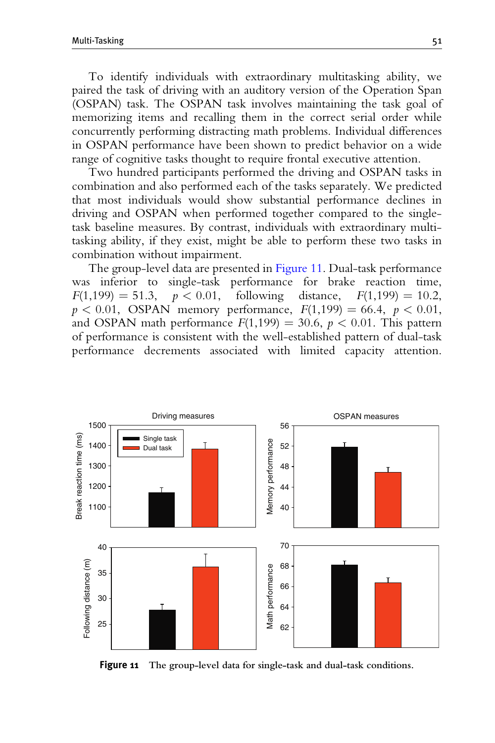To identify individuals with extraordinary multitasking ability, we paired the task of driving with an auditory version of the Operation Span (OSPAN) task. The OSPAN task involves maintaining the task goal of memorizing items and recalling them in the correct serial order while concurrently performing distracting math problems. Individual differences in OSPAN performance have been shown to predict behavior on a wide range of cognitive tasks thought to require frontal executive attention.

Two hundred participants performed the driving and OSPAN tasks in combination and also performed each of the tasks separately. We predicted that most individuals would show substantial performance declines in driving and OSPAN when performed together compared to the singletask baseline measures. By contrast, individuals with extraordinary multitasking ability, if they exist, might be able to perform these two tasks in combination without impairment.

The group-level data are presented in [Figure 11.](#page-23-0) Dual-task performance was inferior to single-task performance for brake reaction time,  $F(1,199) = 51.3, p < 0.01,$  following distance,  $F(1,199) = 10.2, p < 0.01, p < 0.01, p < 0.01$  $p < 0.01$ , OSPAN memory performance,  $F(1,199) = 66.4$ ,  $p < 0.01$ , and OSPAN math performance  $F(1,199) = 30.6$ ,  $p < 0.01$ . This pattern of performance is consistent with the well-established pattern of dual-task performance decrements associated with limited capacity attention.



<span id="page-23-0"></span>Figure 11 The group-level data for single-task and dual-task conditions.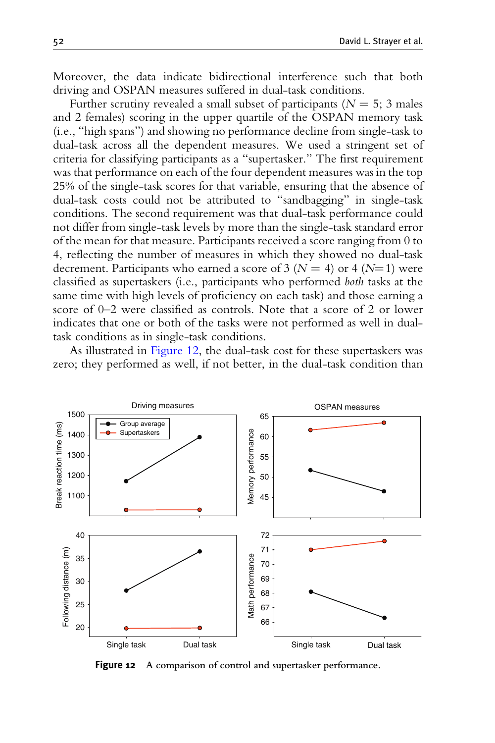Moreover, the data indicate bidirectional interference such that both driving and OSPAN measures suffered in dual-task conditions.

Further scrutiny revealed a small subset of participants ( $N = 5$ ; 3 males and 2 females) scoring in the upper quartile of the OSPAN memory task (i.e., "high spans") and showing no performance decline from single-task to dual-task across all the dependent measures. We used a stringent set of criteria for classifying participants as a "supertasker." The first requirement was that performance on each of the four dependent measures was in the top 25% of the single-task scores for that variable, ensuring that the absence of dual-task costs could not be attributed to "sandbagging" in single-task conditions. The second requirement was that dual-task performance could not differ from single-task levels by more than the single-task standard error of the mean for that measure. Participants received a score ranging from 0 to 4, reflecting the number of measures in which they showed no dual-task decrement. Participants who earned a score of 3 ( $N = 4$ ) or 4 ( $N=1$ ) were classified as supertaskers (i.e., participants who performed both tasks at the same time with high levels of proficiency on each task) and those earning a score of 0–2 were classified as controls. Note that a score of 2 or lower indicates that one or both of the tasks were not performed as well in dualtask conditions as in single-task conditions.

As illustrated in [Figure 12](#page-24-0), the dual-task cost for these supertaskers was zero; they performed as well, if not better, in the dual-task condition than



<span id="page-24-0"></span>Figure 12 A comparison of control and supertasker performance.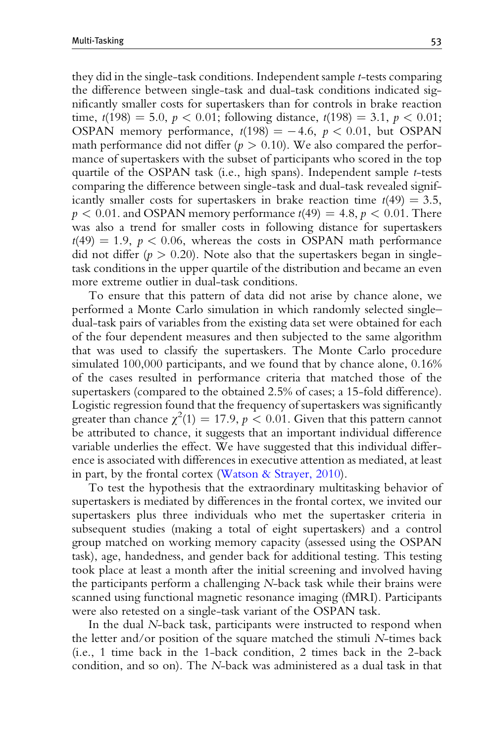they did in the single-task conditions. Independent sample t-tests comparing the difference between single-task and dual-task conditions indicated significantly smaller costs for supertaskers than for controls in brake reaction time,  $t(198) = 5.0$ ,  $p < 0.01$ ; following distance,  $t(198) = 3.1$ ,  $p < 0.01$ ; OSPAN memory performance,  $t(198) = -4.6$ ,  $p < 0.01$ , but OSPAN math performance did not differ ( $p > 0.10$ ). We also compared the performance of supertaskers with the subset of participants who scored in the top quartile of the OSPAN task (i.e., high spans). Independent sample t-tests comparing the difference between single-task and dual-task revealed significantly smaller costs for supertaskers in brake reaction time  $t(49) = 3.5$ ,  $p < 0.01$  and OSPAN memory performance  $t(49) = 4.8$ ,  $p < 0.01$ . There was also a trend for smaller costs in following distance for supertaskers  $t(49) = 1.9, p < 0.06$ , whereas the costs in OSPAN math performance did not differ ( $p > 0.20$ ). Note also that the supertaskers began in singletask conditions in the upper quartile of the distribution and became an even more extreme outlier in dual-task conditions.

To ensure that this pattern of data did not arise by chance alone, we performed a Monte Carlo simulation in which randomly selected single– dual-task pairs of variables from the existing data set were obtained for each of the four dependent measures and then subjected to the same algorithm that was used to classify the supertaskers. The Monte Carlo procedure simulated 100,000 participants, and we found that by chance alone, 0.16% of the cases resulted in performance criteria that matched those of the supertaskers (compared to the obtained 2.5% of cases; a 15-fold difference). Logistic regression found that the frequency of supertaskers was significantly greater than chance  $\chi^2(1) = 17.9$ ,  $p < 0.01$ . Given that this pattern cannot be attributed to chance, it suggests that an important individual difference variable underlies the effect. We have suggested that this individual difference is associated with differences in executive attention as mediated, at least in part, by the frontal cortex [\(Watson & Strayer, 2010](#page-30-0)).

To test the hypothesis that the extraordinary multitasking behavior of supertaskers is mediated by differences in the frontal cortex, we invited our supertaskers plus three individuals who met the supertasker criteria in subsequent studies (making a total of eight supertaskers) and a control group matched on working memory capacity (assessed using the OSPAN task), age, handedness, and gender back for additional testing. This testing took place at least a month after the initial screening and involved having the participants perform a challenging  $N$ -back task while their brains were scanned using functional magnetic resonance imaging (fMRI). Participants were also retested on a single-task variant of the OSPAN task.

In the dual N-back task, participants were instructed to respond when the letter and/or position of the square matched the stimuli  $N$ -times back (i.e., 1 time back in the 1-back condition, 2 times back in the 2-back condition, and so on). The N-back was administered as a dual task in that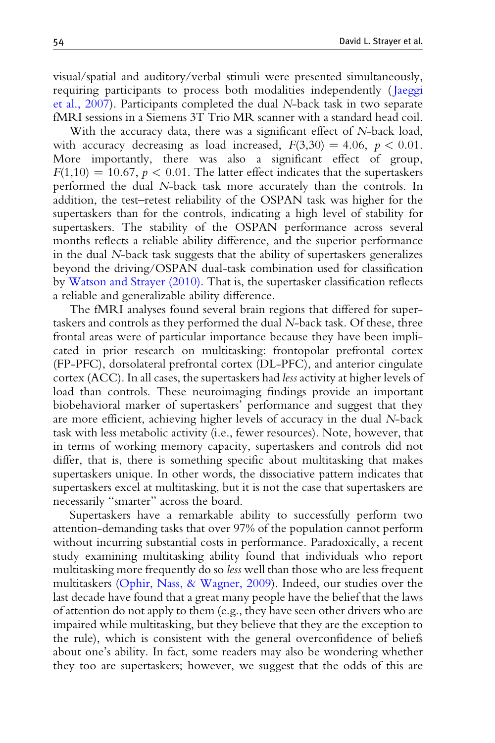visual/spatial and auditory/verbal stimuli were presented simultaneously, requiring participants to process both modalities independently ( [Jaeggi](#page-29-0) [et al., 2007\)](#page-29-0). Participants completed the dual N-back task in two separate fMRI sessions in a Siemens 3T Trio MR scanner with a standard head coil.

With the accuracy data, there was a significant effect of N-back load, with accuracy decreasing as load increased,  $F(3,30) = 4.06$ ,  $p < 0.01$ . More importantly, there was also a significant effect of group,  $F(1,10) = 10.67$ ,  $p < 0.01$ . The latter effect indicates that the supertaskers performed the dual N-back task more accurately than the controls. In addition, the test–retest reliability of the OSPAN task was higher for the supertaskers than for the controls, indicating a high level of stability for supertaskers. The stability of the OSPAN performance across several months reflects a reliable ability difference, and the superior performance in the dual N-back task suggests that the ability of supertaskers generalizes beyond the driving/OSPAN dual-task combination used for classification by [Watson and Strayer \(2010\)](#page-30-0). That is, the supertasker classification reflects a reliable and generalizable ability difference.

The fMRI analyses found several brain regions that differed for supertaskers and controls as they performed the dual N-back task. Of these, three frontal areas were of particular importance because they have been implicated in prior research on multitasking: frontopolar prefrontal cortex (FP-PFC), dorsolateral prefrontal cortex (DL-PFC), and anterior cingulate cortex (ACC). In all cases, the supertaskers had less activity at higher levels of load than controls. These neuroimaging findings provide an important biobehavioral marker of supertaskers' performance and suggest that they are more efficient, achieving higher levels of accuracy in the dual N-back task with less metabolic activity (i.e., fewer resources). Note, however, that in terms of working memory capacity, supertaskers and controls did not differ, that is, there is something specific about multitasking that makes supertaskers unique. In other words, the dissociative pattern indicates that supertaskers excel at multitasking, but it is not the case that supertaskers are necessarily "smarter" across the board.

Supertaskers have a remarkable ability to successfully perform two attention-demanding tasks that over 97% of the population cannot perform without incurring substantial costs in performance. Paradoxically, a recent study examining multitasking ability found that individuals who report multitasking more frequently do so less well than those who are less frequent multitaskers [\(Ophir, Nass, & Wagner, 2009\)](#page-29-0). Indeed, our studies over the last decade have found that a great many people have the belief that the laws of attention do not apply to them (e.g., they have seen other drivers who are impaired while multitasking, but they believe that they are the exception to the rule), which is consistent with the general overconfidence of beliefs about one's ability. In fact, some readers may also be wondering whether they too are supertaskers; however, we suggest that the odds of this are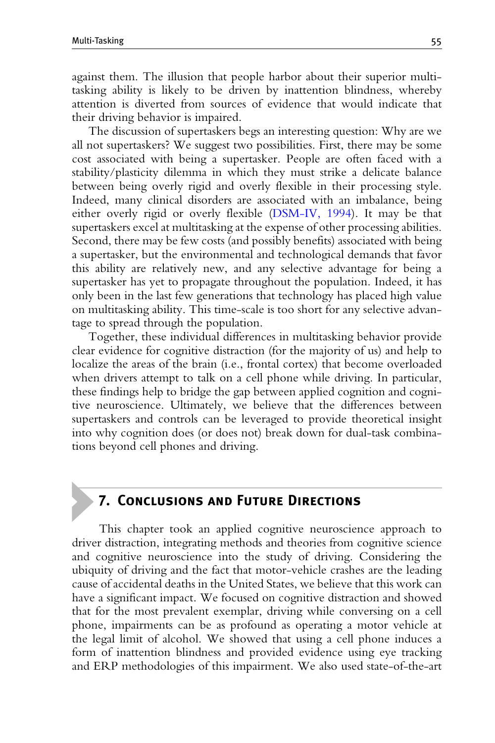against them. The illusion that people harbor about their superior multitasking ability is likely to be driven by inattention blindness, whereby attention is diverted from sources of evidence that would indicate that their driving behavior is impaired.

The discussion of supertaskers begs an interesting question: Why are we all not supertaskers? We suggest two possibilities. First, there may be some cost associated with being a supertasker. People are often faced with a stability/plasticity dilemma in which they must strike a delicate balance between being overly rigid and overly flexible in their processing style. Indeed, many clinical disorders are associated with an imbalance, being either overly rigid or overly flexible ([DSM-IV, 1994\)](#page-29-0). It may be that supertaskers excel at multitasking at the expense of other processing abilities. Second, there may be few costs (and possibly benefits) associated with being a supertasker, but the environmental and technological demands that favor this ability are relatively new, and any selective advantage for being a supertasker has yet to propagate throughout the population. Indeed, it has only been in the last few generations that technology has placed high value on multitasking ability. This time-scale is too short for any selective advantage to spread through the population.

Together, these individual differences in multitasking behavior provide clear evidence for cognitive distraction (for the majority of us) and help to localize the areas of the brain (i.e., frontal cortex) that become overloaded when drivers attempt to talk on a cell phone while driving. In particular, these findings help to bridge the gap between applied cognition and cognitive neuroscience. Ultimately, we believe that the differences between supertaskers and controls can be leveraged to provide theoretical insight into why cognition does (or does not) break down for dual-task combinations beyond cell phones and driving.

### 7. Conclusions and Future Directions

This chapter took an applied cognitive neuroscience approach to driver distraction, integrating methods and theories from cognitive science and cognitive neuroscience into the study of driving. Considering the ubiquity of driving and the fact that motor-vehicle crashes are the leading cause of accidental deaths in the United States, we believe that this work can have a significant impact. We focused on cognitive distraction and showed that for the most prevalent exemplar, driving while conversing on a cell phone, impairments can be as profound as operating a motor vehicle at the legal limit of alcohol. We showed that using a cell phone induces a form of inattention blindness and provided evidence using eye tracking and ERP methodologies of this impairment. We also used state-of-the-art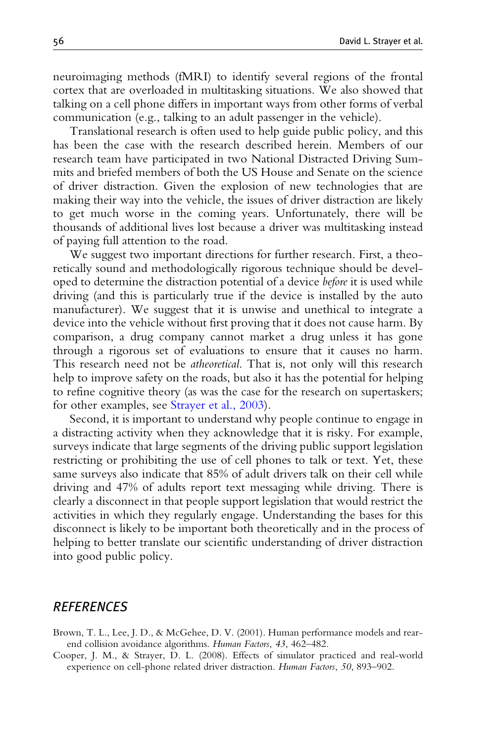neuroimaging methods (fMRI) to identify several regions of the frontal cortex that are overloaded in multitasking situations. We also showed that talking on a cell phone differs in important ways from other forms of verbal communication (e.g., talking to an adult passenger in the vehicle).

Translational research is often used to help guide public policy, and this has been the case with the research described herein. Members of our research team have participated in two National Distracted Driving Summits and briefed members of both the US House and Senate on the science of driver distraction. Given the explosion of new technologies that are making their way into the vehicle, the issues of driver distraction are likely to get much worse in the coming years. Unfortunately, there will be thousands of additional lives lost because a driver was multitasking instead of paying full attention to the road.

We suggest two important directions for further research. First, a theoretically sound and methodologically rigorous technique should be developed to determine the distraction potential of a device before it is used while driving (and this is particularly true if the device is installed by the auto manufacturer). We suggest that it is unwise and unethical to integrate a device into the vehicle without first proving that it does not cause harm. By comparison, a drug company cannot market a drug unless it has gone through a rigorous set of evaluations to ensure that it causes no harm. This research need not be atheoretical. That is, not only will this research help to improve safety on the roads, but also it has the potential for helping to refine cognitive theory (as was the case for the research on supertaskers; for other examples, see [Strayer et al., 2003](#page-30-0)).

Second, it is important to understand why people continue to engage in a distracting activity when they acknowledge that it is risky. For example, surveys indicate that large segments of the driving public support legislation restricting or prohibiting the use of cell phones to talk or text. Yet, these same surveys also indicate that 85% of adult drivers talk on their cell while driving and 47% of adults report text messaging while driving. There is clearly a disconnect in that people support legislation that would restrict the activities in which they regularly engage. Understanding the bases for this disconnect is likely to be important both theoretically and in the process of helping to better translate our scientific understanding of driver distraction into good public policy.

#### REFERENCES

- Brown, T. L., Lee, J. D., & McGehee, D. V. (2001). Human performance models and rearend collision avoidance algorithms. Human Factors, 43, 462–482.
- <span id="page-28-0"></span>Cooper, J. M., & Strayer, D. L. (2008). Effects of simulator practiced and real-world experience on cell-phone related driver distraction. Human Factors, 50, 893–902.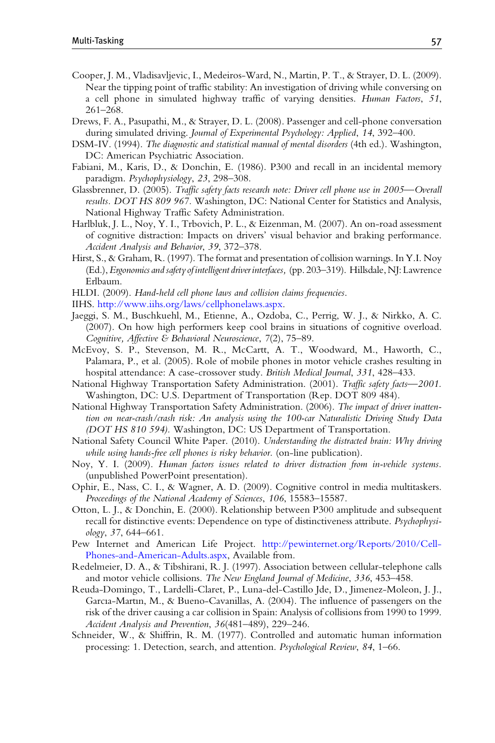- Cooper, J. M., Vladisavljevic, I., Medeiros-Ward, N., Martin, P. T., & Strayer, D. L. (2009). Near the tipping point of traffic stability: An investigation of driving while conversing on a cell phone in simulated highway traffic of varying densities. Human Factors, 51, 261–268.
- Drews, F. A., Pasupathi, M., & Strayer, D. L. (2008). Passenger and cell-phone conversation during simulated driving. Journal of Experimental Psychology: Applied, 14, 392–400.
- DSM-IV. (1994). The diagnostic and statistical manual of mental disorders (4th ed.). Washington, DC: American Psychiatric Association.
- Fabiani, M., Karis, D., & Donchin, E. (1986). P300 and recall in an incidental memory paradigm. Psychophysiology, 23, 298–308.
- Glassbrenner, D. (2005). Traffic safety facts research note: Driver cell phone use in 2005—Overall results. DOT HS 809 967. Washington, DC: National Center for Statistics and Analysis, National Highway Traffic Safety Administration.
- Harlbluk, J. L., Noy, Y. I., Trbovich, P. L., & Eizenman, M. (2007). An on-road assessment of cognitive distraction: Impacts on drivers' visual behavior and braking performance. Accident Analysis and Behavior, 39, 372–378.
- Hirst, S., & Graham, R. (1997). The format and presentation of collision warnings. In Y.I. Noy (Ed.),Ergonomics and safety of intelligent driver interfaces, (pp. 203–319). Hillsdale,NJ: Lawrence Erlbaum.
- HLDI. (2009). Hand-held cell phone laws and collision claims frequencies.
- IIHS. [http://www.iihs.org/laws/cellphonelaws.aspx.](http://www.iihs.org/laws/cellphonelaws.aspx)
- Jaeggi, S. M., Buschkuehl, M., Etienne, A., Ozdoba, C., Perrig, W. J., & Nirkko, A. C. (2007). On how high performers keep cool brains in situations of cognitive overload. Cognitive, Affective & Behavioral Neuroscience, 7(2), 75–89.
- McEvoy, S. P., Stevenson, M. R., McCartt, A. T., Woodward, M., Haworth, C., Palamara, P., et al. (2005). Role of mobile phones in motor vehicle crashes resulting in hospital attendance: A case-crossover study. British Medical Journal, 331, 428–433.
- National Highway Transportation Safety Administration. (2001). Traffic safety facts—2001. Washington, DC: U.S. Department of Transportation (Rep. DOT 809 484).
- National Highway Transportation Safety Administration. (2006). The impact of driver inattention on near-crash/crash risk: An analysis using the 100-car Naturalistic Driving Study Data (DOT HS 810 594). Washington, DC: US Department of Transportation.
- National Safety Council White Paper. (2010). Understanding the distracted brain: Why driving while using hands-free cell phones is risky behavior. (on-line publication).
- Noy, Y. I. (2009). Human factors issues related to driver distraction from in-vehicle systems. (unpublished PowerPoint presentation).
- Ophir, E., Nass, C. I., & Wagner, A. D. (2009). Cognitive control in media multitaskers. Proceedings of the National Academy of Sciences, 106, 15583–15587.
- Otton, L. J., & Donchin, E. (2000). Relationship between P300 amplitude and subsequent recall for distinctive events: Dependence on type of distinctiveness attribute. Psychophysiology, 37, 644–661.
- Pew Internet and American Life Project. [http://pewinternet.org/Reports/2010/Cell-](http://pewinternet.org/Reports/2010/Cell-Phones-and-American-Adults.aspx)[Phones-and-American-Adults.aspx](http://pewinternet.org/Reports/2010/Cell-Phones-and-American-Adults.aspx), Available from.
- Redelmeier, D. A., & Tibshirani, R. J. (1997). Association between cellular-telephone calls and motor vehicle collisions. The New England Journal of Medicine, 336, 453–458.
- Reuda-Domingo, T., Lardelli-Claret, P., Luna-del-Castillo Jde, D., Jimenez-Moleon, J. J., Garcıa-Martın, M., & Bueno-Cavanillas, A. (2004). The influence of passengers on the risk of the driver causing a car collision in Spain: Analysis of collisions from 1990 to 1999. Accident Analysis and Prevention, 36(481–489), 229–246.
- <span id="page-29-0"></span>Schneider, W., & Shiffrin, R. M. (1977). Controlled and automatic human information processing: 1. Detection, search, and attention. Psychological Review, 84, 1–66.